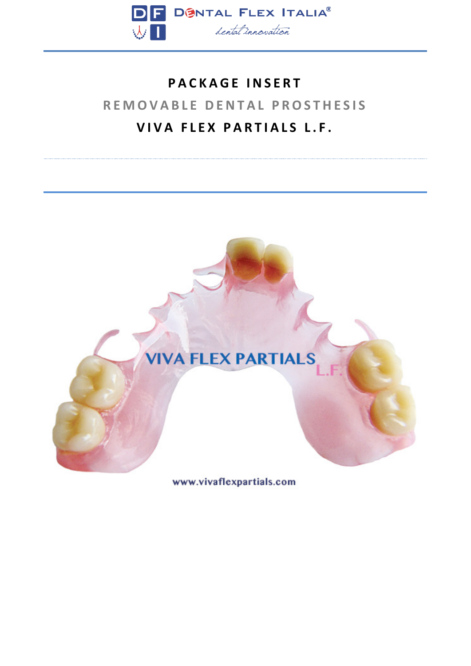

## **PACKAGE INSERT REMOVABLE DENTAL PROSTHESIS VIVA FLEX PARTIALS L.F.**



www.vivaflexpartials.com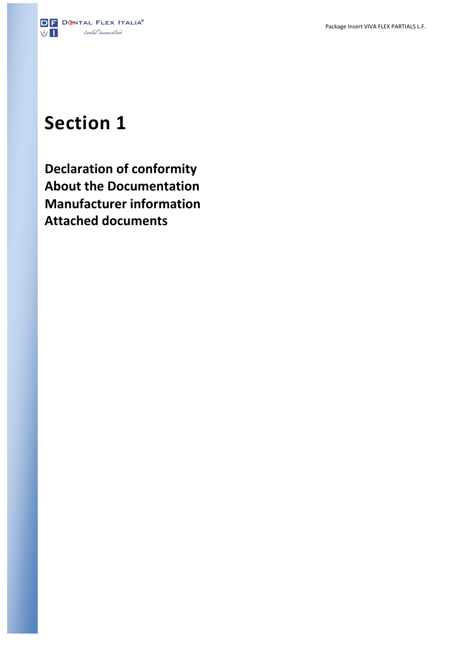

# **Section 1**

**Declaration of conformity About the Documentation Manufacturer information Attached documents**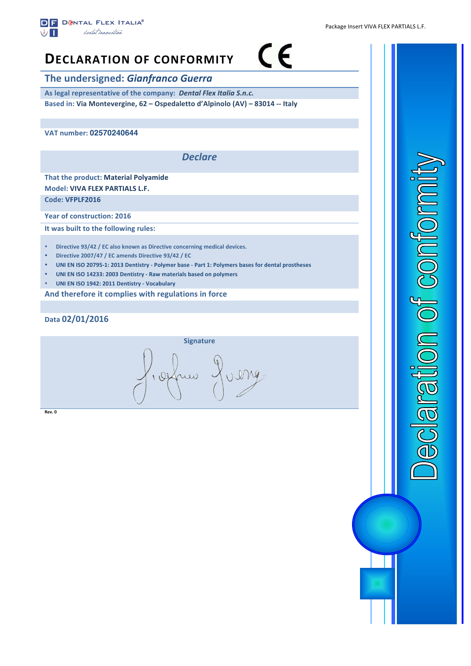

### $\epsilon$ **DECLARATION OF CONFORMITY**

**The undersigned: Gianfranco Guerra** 

As legal representative of the company: Dental Flex Italia S.n.c. **Based in: Via Montevergine, 62 – Ospedaletto d'Alpinolo (AV) – 83014 -- Italy**

**VAT number: 02570240644** 

*Declare*

**That the product: Material Polyamide Model: VIVA FLEX PARTIALS L.F.** 

**Code: VFPLF2016**

**Year of construction: 2016** 

**It was built to the following rules:** 

- **Directive 93/42 / EC also known as Directive concerning medical devices.**
- **Directive 2007/47 / EC amends Directive 93/42 / EC**
- **UNI EN ISO 20795-1: 2013 Dentistry - Polymer base - Part 1: Polymers bases for dental prostheses**
- UNI EN ISO 14233: 2003 Dentistry Raw materials based on polymers
- **UNI EN ISO 1942: 2011 Dentistry - Vocabulary**

And therefore it complies with regulations in force

**Data 02/01/2016**



**Rev. 0**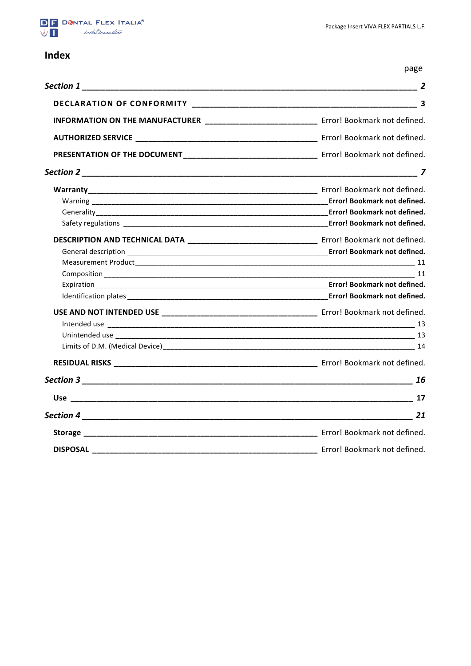

### **Index**

page

|                                                                                               | $\overline{2}$               |
|-----------------------------------------------------------------------------------------------|------------------------------|
|                                                                                               | 3                            |
| INFORMATION ON THE MANUFACTURER _____________________________ Error! Bookmark not defined.    |                              |
|                                                                                               |                              |
|                                                                                               |                              |
|                                                                                               |                              |
|                                                                                               |                              |
|                                                                                               |                              |
|                                                                                               |                              |
|                                                                                               |                              |
| DESCRIPTION AND TECHNICAL DATA _________________________________ Error! Bookmark not defined. |                              |
|                                                                                               |                              |
|                                                                                               |                              |
|                                                                                               |                              |
|                                                                                               |                              |
|                                                                                               |                              |
|                                                                                               |                              |
|                                                                                               |                              |
|                                                                                               |                              |
|                                                                                               |                              |
|                                                                                               |                              |
|                                                                                               |                              |
|                                                                                               |                              |
|                                                                                               |                              |
|                                                                                               |                              |
|                                                                                               | Error! Bookmark not defined. |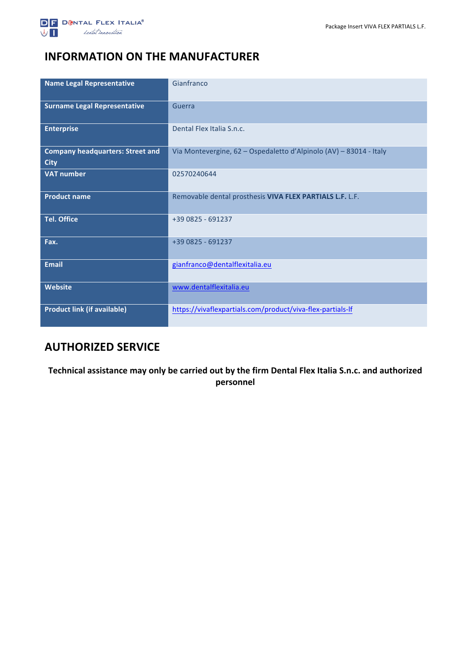

### **INFORMATION ON THE MANUFACTURER**

| <b>Name Legal Representative</b>                       | Gianfranco                                                         |
|--------------------------------------------------------|--------------------------------------------------------------------|
| <b>Surname Legal Representative</b>                    | Guerra                                                             |
| <b>Enterprise</b>                                      | Dental Flex Italia S.n.c.                                          |
| <b>Company headquarters: Street and</b><br><b>City</b> | Via Montevergine, 62 - Ospedaletto d'Alpinolo (AV) - 83014 - Italy |
| <b>VAT number</b>                                      | 02570240644                                                        |
| <b>Product name</b>                                    | Removable dental prosthesis VIVA FLEX PARTIALS L.F. L.F.           |
| <b>Tel. Office</b>                                     | +39 0825 - 691237                                                  |
| Fax.                                                   | +39 0825 - 691237                                                  |
| <b>Email</b>                                           | gianfranco@dentalflexitalia.eu                                     |
| <b>Website</b>                                         | www.dentalflexitalia.eu                                            |
| <b>Product link (if available)</b>                     | https://vivaflexpartials.com/product/viva-flex-partials-lf         |

### **AUTHORIZED SERVICE**

Technical assistance may only be carried out by the firm Dental Flex Italia S.n.c. and authorized **personnel**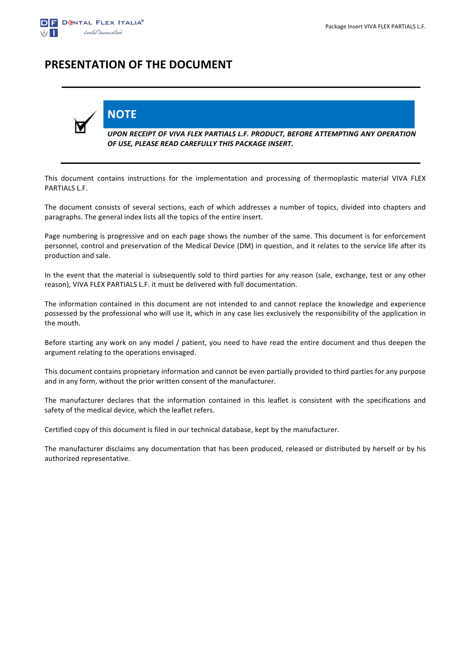

### **PRESENTATION OF THE DOCUMENT**

**NOTE**



*UPON RECEIPT OF VIVA FLEX PARTIALS L.F. PRODUCT, BEFORE ATTEMPTING ANY OPERATION*  OF USE, PLEASE READ CAREFULLY THIS PACKAGE INSERT.

This document contains instructions for the implementation and processing of thermoplastic material VIVA FLEX PARTIALS L.F.

The document consists of several sections, each of which addresses a number of topics, divided into chapters and paragraphs. The general index lists all the topics of the entire insert.

Page numbering is progressive and on each page shows the number of the same. This document is for enforcement personnel, control and preservation of the Medical Device (DM) in question, and it relates to the service life after its production and sale.

In the event that the material is subsequently sold to third parties for any reason (sale, exchange, test or any other reason), VIVA FLEX PARTIALS L.F. it must be delivered with full documentation.

The information contained in this document are not intended to and cannot replace the knowledge and experience possessed by the professional who will use it, which in any case lies exclusively the responsibility of the application in the mouth.

Before starting any work on any model / patient, you need to have read the entire document and thus deepen the argument relating to the operations envisaged.

This document contains proprietary information and cannot be even partially provided to third parties for any purpose and in any form, without the prior written consent of the manufacturer.

The manufacturer declares that the information contained in this leaflet is consistent with the specifications and safety of the medical device, which the leaflet refers.

Certified copy of this document is filed in our technical database, kept by the manufacturer.

The manufacturer disclaims any documentation that has been produced, released or distributed by herself or by his authorized representative.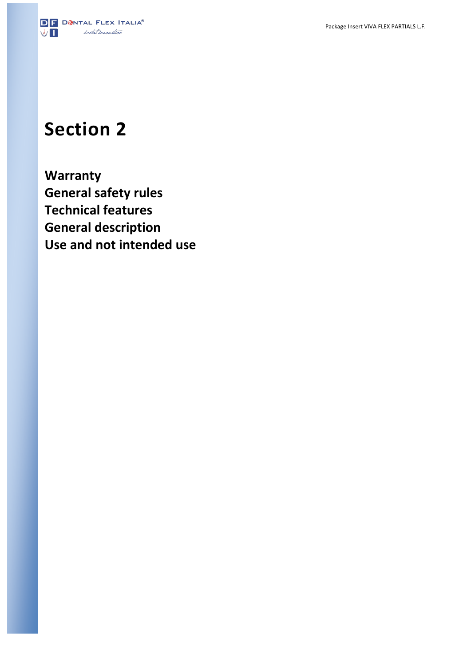

## **Section 2**

**Warranty General safety rules Technical features General description Use and not intended use**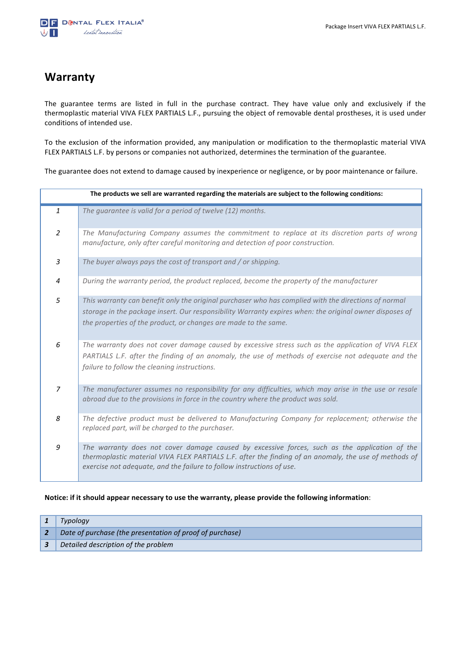### **Warranty**

The guarantee terms are listed in full in the purchase contract. They have value only and exclusively if the thermoplastic material VIVA FLEX PARTIALS L.F., pursuing the object of removable dental prostheses, it is used under conditions of intended use.

To the exclusion of the information provided, any manipulation or modification to the thermoplastic material VIVA FLEX PARTIALS L.F. by persons or companies not authorized, determines the termination of the guarantee.

The guarantee does not extend to damage caused by inexperience or negligence, or by poor maintenance or failure.

| The products we sell are warranted regarding the materials are subject to the following conditions: |                                                                                                                                                                                                                                                                                    |  |  |
|-----------------------------------------------------------------------------------------------------|------------------------------------------------------------------------------------------------------------------------------------------------------------------------------------------------------------------------------------------------------------------------------------|--|--|
| $\mathbf{1}$                                                                                        | The guarantee is valid for a period of twelve (12) months.                                                                                                                                                                                                                         |  |  |
| 2                                                                                                   | The Manufacturing Company assumes the commitment to replace at its discretion parts of wrong<br>manufacture, only after careful monitoring and detection of poor construction.                                                                                                     |  |  |
| $\overline{3}$                                                                                      | The buyer always pays the cost of transport and / or shipping.                                                                                                                                                                                                                     |  |  |
| $\overline{4}$                                                                                      | During the warranty period, the product replaced, become the property of the manufacturer                                                                                                                                                                                          |  |  |
| 5                                                                                                   | This warranty can benefit only the original purchaser who has complied with the directions of normal<br>storage in the package insert. Our responsibility Warranty expires when: the original owner disposes of<br>the properties of the product, or changes are made to the same. |  |  |
| 6                                                                                                   | The warranty does not cover damage caused by excessive stress such as the application of VIVA FLEX<br>PARTIALS L.F. after the finding of an anomaly, the use of methods of exercise not adequate and the<br>failure to follow the cleaning instructions.                           |  |  |
| $\overline{z}$                                                                                      | The manufacturer assumes no responsibility for any difficulties, which may arise in the use or resale<br>abroad due to the provisions in force in the country where the product was sold.                                                                                          |  |  |
| 8                                                                                                   | The defective product must be delivered to Manufacturing Company for replacement; otherwise the<br>replaced part, will be charged to the purchaser.                                                                                                                                |  |  |
| 9                                                                                                   | The warranty does not cover damage caused by excessive forces, such as the application of the<br>thermoplastic material VIVA FLEX PARTIALS L.F. after the finding of an anomaly, the use of methods of<br>exercise not adequate, and the failure to follow instructions of use.    |  |  |

#### Notice: if it should appear necessary to use the warranty, please provide the following information:

| Typology                                                 |
|----------------------------------------------------------|
| Date of purchase (the presentation of proof of purchase) |
| Detailed description of the problem                      |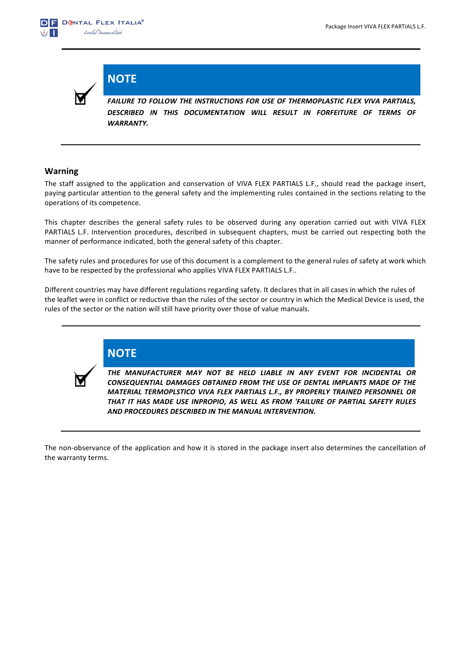

**NOTE**

**FAILURE TO FOLLOW THE INSTRUCTIONS FOR USE OF THERMOPLASTIC FLEX VIVA PARTIALS,** DESCRIBED IN THIS DOCUMENTATION WILL RESULT IN FORFEITURE OF TERMS OF *WARRANTY.*

### **Warning**

The staff assigned to the application and conservation of VIVA FLEX PARTIALS L.F., should read the package insert, paying particular attention to the general safety and the implementing rules contained in the sections relating to the operations of its competence.

This chapter describes the general safety rules to be observed during any operation carried out with VIVA FLEX PARTIALS L.F. Intervention procedures, described in subsequent chapters, must be carried out respecting both the manner of performance indicated, both the general safety of this chapter.

The safety rules and procedures for use of this document is a complement to the general rules of safety at work which have to be respected by the professional who applies VIVA FLEX PARTIALS L.F..

Different countries may have different regulations regarding safety. It declares that in all cases in which the rules of the leaflet were in conflict or reductive than the rules of the sector or country in which the Medical Device is used, the rules of the sector or the nation will still have priority over those of value manuals.



**NOTE**

THE MANUFACTURER MAY NOT BE HELD LIABLE IN ANY EVENT FOR INCIDENTAL OR **CONSEQUENTIAL DAMAGES OBTAINED FROM THE USE OF DENTAL IMPLANTS MADE OF THE** MATERIAL TERMOPLSTICO VIVA FLEX PARTIALS L.F., BY PROPERLY TRAINED PERSONNEL OR THAT IT HAS MADE USE INPROPIO, AS WELL AS FROM 'FAILURE OF PARTIAL SAFETY RULES **AND PROCEDURES DESCRIBED IN THE MANUAL INTERVENTION.** 

The non-observance of the application and how it is stored in the package insert also determines the cancellation of the warranty terms.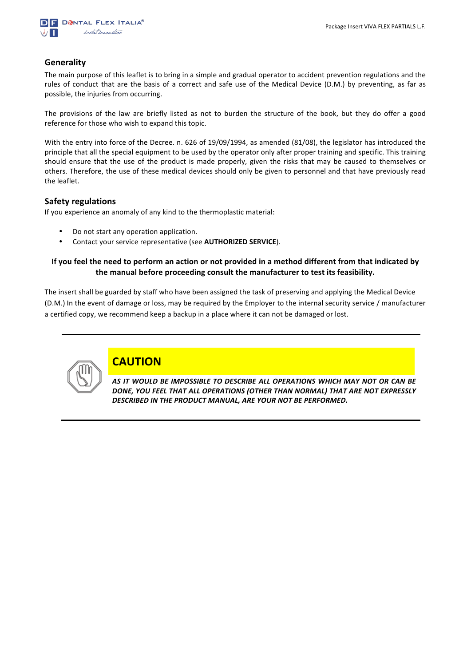

### **Generality**

The main purpose of this leaflet is to bring in a simple and gradual operator to accident prevention regulations and the rules of conduct that are the basis of a correct and safe use of the Medical Device (D.M.) by preventing, as far as possible, the injuries from occurring.

The provisions of the law are briefly listed as not to burden the structure of the book, but they do offer a good reference for those who wish to expand this topic.

With the entry into force of the Decree. n. 626 of 19/09/1994, as amended (81/08), the legislator has introduced the principle that all the special equipment to be used by the operator only after proper training and specific. This training should ensure that the use of the product is made properly, given the risks that may be caused to themselves or others. Therefore, the use of these medical devices should only be given to personnel and that have previously read the leaflet.

### **Safety regulations**

If you experience an anomaly of any kind to the thermoplastic material:

- Do not start any operation application.
- Contact your service representative (see **AUTHORIZED SERVICE**).

### **If** you feel the need to perform an action or not provided in a method different from that indicated by the manual before proceeding consult the manufacturer to test its feasibility.

The insert shall be guarded by staff who have been assigned the task of preserving and applying the Medical Device (D.M.) In the event of damage or loss, may be required by the Employer to the internal security service / manufacturer a certified copy, we recommend keep a backup in a place where it can not be damaged or lost.



### **CAUTION**

AS IT WOULD BE IMPOSSIBLE TO DESCRIBE ALL OPERATIONS WHICH MAY NOT OR CAN BE DONE, YOU FEEL THAT ALL OPERATIONS (OTHER THAN NORMAL) THAT ARE NOT EXPRESSLY DESCRIBED IN THE PRODUCT MANUAL, ARE YOUR NOT BE PERFORMED.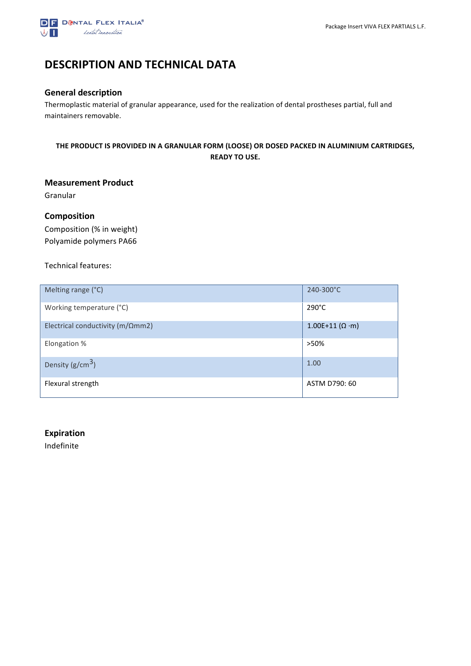

### **DESCRIPTION AND TECHNICAL DATA**

### **General description**

Thermoplastic material of granular appearance, used for the realization of dental prostheses partial, full and maintainers removable.

### THE PRODUCT IS PROVIDED IN A GRANULAR FORM (LOOSE) OR DOSED PACKED IN ALUMINIUM CARTRIDGES, **READY TO USE.**

### **Measurement Product**

Granular

### **Composition**

Composition (% in weight) Polyamide polymers PA66

#### Technical features:

| Melting range (°C)                        | 240-300°C                   |
|-------------------------------------------|-----------------------------|
| Working temperature (°C)                  | $290^{\circ}$ C             |
| Electrical conductivity ( $m/\Omega$ mm2) | $1.00E+11 (\Omega \cdot m)$ |
| Elongation %                              | >50%                        |
| Density ( $g/cm^3$ )                      | 1.00                        |
| Flexural strength                         | ASTM D790: 60               |

#### **Expiration**

Indefinite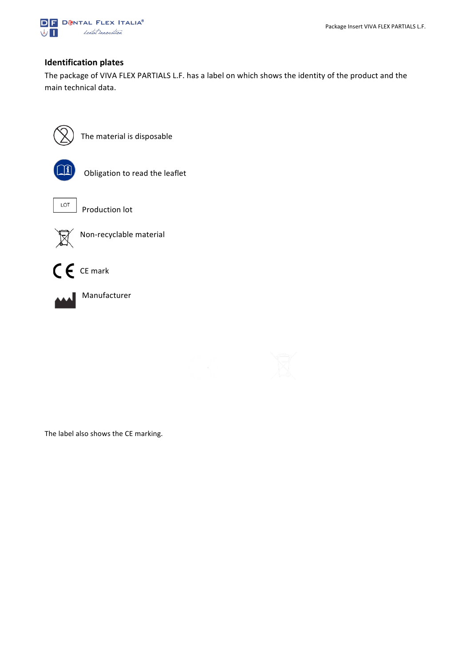

### **Identification plates**

The package of VIVA FLEX PARTIALS L.F. has a label on which shows the identity of the product and the main technical data.



The material is disposable



Obligation to read the leaflet



 $\begin{array}{c|c}\n\hline\n\end{array}$  Production lot



Non-recyclable material





 Manufacturer



 $\begin{array}{c} \hline \end{array}$ 

 $\mathbf{r}$ 

The label also shows the CE marking.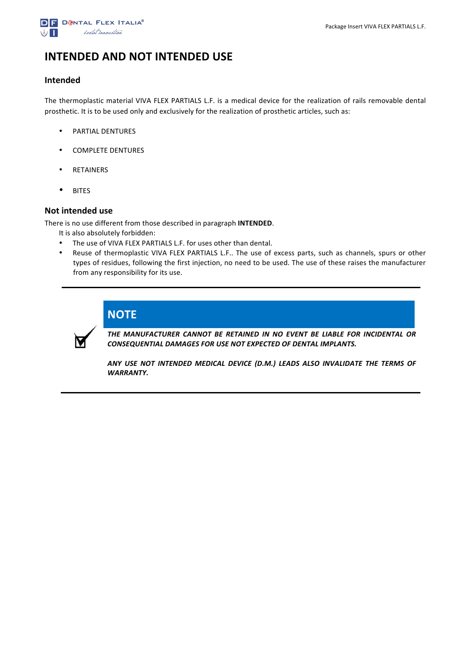

### **INTENDED AND NOT INTENDED USE**

### **Intended**

The thermoplastic material VIVA FLEX PARTIALS L.F. is a medical device for the realization of rails removable dental prosthetic. It is to be used only and exclusively for the realization of prosthetic articles, such as:

- PARTIAL DENTURES
- COMPLETE DENTURES
- RETAINERS
- BITES

#### **Not intended use**

There is no use different from those described in paragraph **INTENDED**.

- It is also absolutely forbidden:
- The use of VIVA FLEX PARTIALS L.F. for uses other than dental.
- Reuse of thermoplastic VIVA FLEX PARTIALS L.F.. The use of excess parts, such as channels, spurs or other types of residues, following the first injection, no need to be used. The use of these raises the manufacturer from any responsibility for its use.



## **NOTE**

THE MANUFACTURER CANNOT BE RETAINED IN NO EVENT BE LIABLE FOR INCIDENTAL OR **CONSEQUENTIAL DAMAGES FOR USE NOT EXPECTED OF DENTAL IMPLANTS.** 

ANY USE NOT INTENDED MEDICAL DEVICE (D.M.) LEADS ALSO INVALIDATE THE TERMS OF *WARRANTY.*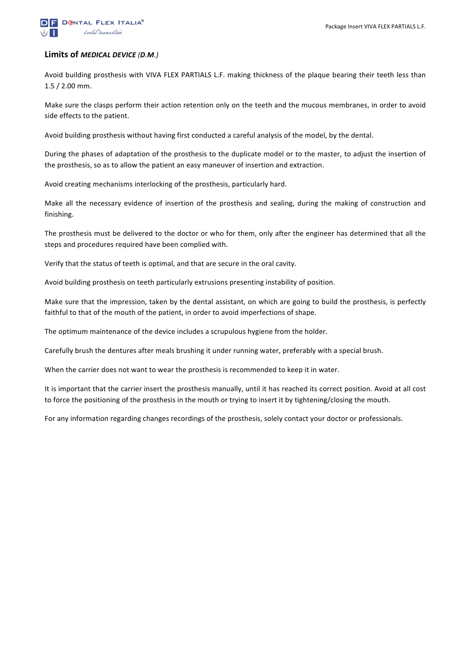

#### **Limits of** *MEDICAL DEVICE (D.M.)*

Avoid building prosthesis with VIVA FLEX PARTIALS L.F. making thickness of the plaque bearing their teeth less than  $1.5 / 2.00$  mm.

Make sure the clasps perform their action retention only on the teeth and the mucous membranes, in order to avoid side effects to the patient.

Avoid building prosthesis without having first conducted a careful analysis of the model, by the dental.

During the phases of adaptation of the prosthesis to the duplicate model or to the master, to adjust the insertion of the prosthesis, so as to allow the patient an easy maneuver of insertion and extraction.

Avoid creating mechanisms interlocking of the prosthesis, particularly hard.

Make all the necessary evidence of insertion of the prosthesis and sealing, during the making of construction and finishing.

The prosthesis must be delivered to the doctor or who for them, only after the engineer has determined that all the steps and procedures required have been complied with.

Verify that the status of teeth is optimal, and that are secure in the oral cavity.

Avoid building prosthesis on teeth particularly extrusions presenting instability of position.

Make sure that the impression, taken by the dental assistant, on which are going to build the prosthesis, is perfectly faithful to that of the mouth of the patient, in order to avoid imperfections of shape.

The optimum maintenance of the device includes a scrupulous hygiene from the holder.

Carefully brush the dentures after meals brushing it under running water, preferably with a special brush.

When the carrier does not want to wear the prosthesis is recommended to keep it in water.

It is important that the carrier insert the prosthesis manually, until it has reached its correct position. Avoid at all cost to force the positioning of the prosthesis in the mouth or trying to insert it by tightening/closing the mouth.

For any information regarding changes recordings of the prosthesis, solely contact your doctor or professionals.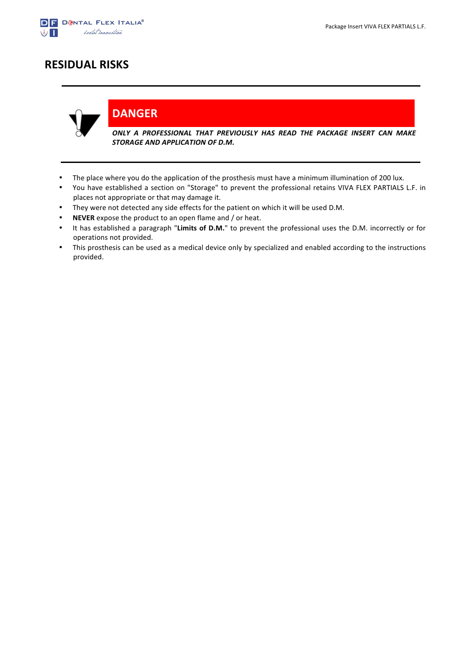

### **RESIDUAL RISKS**



**DANGER**

ONLY A PROFESSIONAL THAT PREVIOUSLY HAS READ THE PACKAGE INSERT CAN MAKE **STORAGE AND APPLICATION OF D.M.** 

- The place where you do the application of the prosthesis must have a minimum illumination of 200 lux.
- You have established a section on "Storage" to prevent the professional retains VIVA FLEX PARTIALS L.F. in places not appropriate or that may damage it.
- They were not detected any side effects for the patient on which it will be used D.M.
- **NEVER** expose the product to an open flame and / or heat.
- It has established a paragraph "Limits of D.M." to prevent the professional uses the D.M. incorrectly or for operations not provided.
- This prosthesis can be used as a medical device only by specialized and enabled according to the instructions provided.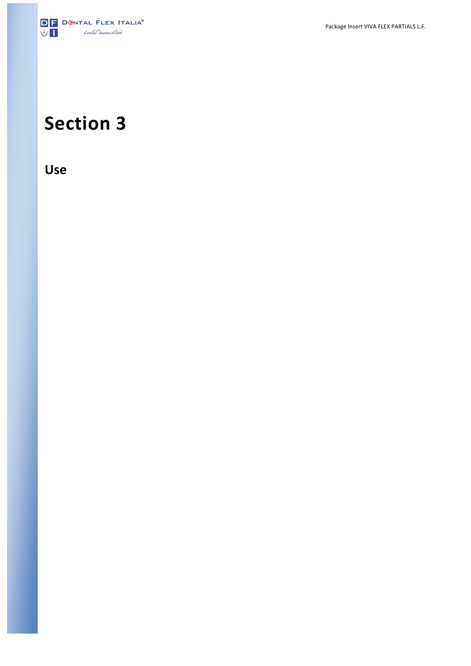

# **Section 3**

**Use**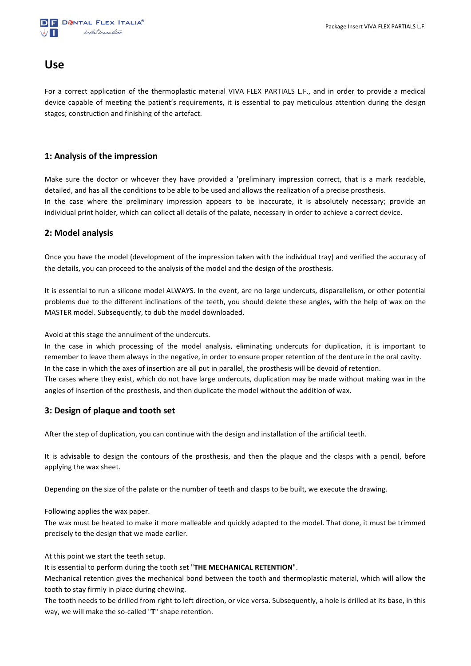

### **Use**

For a correct application of the thermoplastic material VIVA FLEX PARTIALS L.F., and in order to provide a medical device capable of meeting the patient's requirements, it is essential to pay meticulous attention during the design stages, construction and finishing of the artefact.

### **1: Analysis of the impression**

Make sure the doctor or whoever they have provided a 'preliminary impression correct, that is a mark readable, detailed, and has all the conditions to be able to be used and allows the realization of a precise prosthesis. In the case where the preliminary impression appears to be inaccurate, it is absolutely necessary; provide an individual print holder, which can collect all details of the palate, necessary in order to achieve a correct device.

#### **2: Model analysis**

Once you have the model (development of the impression taken with the individual tray) and verified the accuracy of the details, you can proceed to the analysis of the model and the design of the prosthesis.

It is essential to run a silicone model ALWAYS. In the event, are no large undercuts, disparallelism, or other potential problems due to the different inclinations of the teeth, you should delete these angles, with the help of wax on the MASTER model. Subsequently, to dub the model downloaded.

Avoid at this stage the annulment of the undercuts.

In the case in which processing of the model analysis, eliminating undercuts for duplication, it is important to remember to leave them always in the negative, in order to ensure proper retention of the denture in the oral cavity. In the case in which the axes of insertion are all put in parallel, the prosthesis will be devoid of retention. The cases where they exist, which do not have large undercuts, duplication may be made without making wax in the angles of insertion of the prosthesis, and then duplicate the model without the addition of wax.

### **3: Design of plaque and tooth set**

After the step of duplication, you can continue with the design and installation of the artificial teeth.

It is advisable to design the contours of the prosthesis, and then the plaque and the clasps with a pencil, before applying the wax sheet.

Depending on the size of the palate or the number of teeth and clasps to be built, we execute the drawing.

Following applies the wax paper.

The wax must be heated to make it more malleable and quickly adapted to the model. That done, it must be trimmed precisely to the design that we made earlier.

At this point we start the teeth setup.

It is essential to perform during the tooth set "THE MECHANICAL RETENTION".

Mechanical retention gives the mechanical bond between the tooth and thermoplastic material, which will allow the tooth to stay firmly in place during chewing.

The tooth needs to be drilled from right to left direction, or vice versa. Subsequently, a hole is drilled at its base, in this way, we will make the so-called "T" shape retention.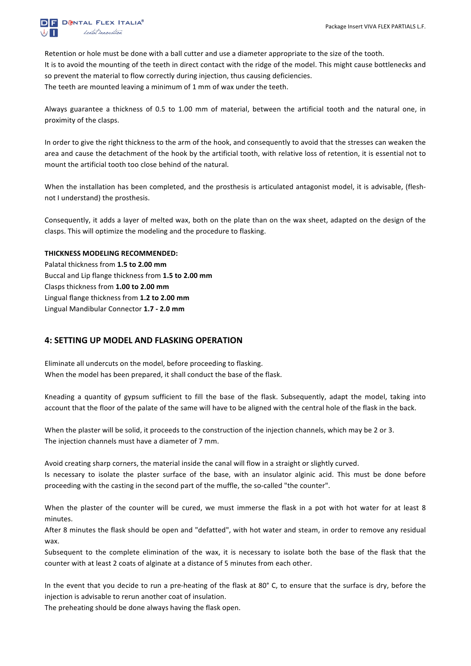

Retention or hole must be done with a ball cutter and use a diameter appropriate to the size of the tooth. It is to avoid the mounting of the teeth in direct contact with the ridge of the model. This might cause bottlenecks and so prevent the material to flow correctly during injection, thus causing deficiencies. The teeth are mounted leaving a minimum of 1 mm of wax under the teeth.

Always guarantee a thickness of 0.5 to 1.00 mm of material, between the artificial tooth and the natural one, in proximity of the clasps.

In order to give the right thickness to the arm of the hook, and consequently to avoid that the stresses can weaken the area and cause the detachment of the hook by the artificial tooth, with relative loss of retention, it is essential not to mount the artificial tooth too close behind of the natural.

When the installation has been completed, and the prosthesis is articulated antagonist model, it is advisable, (fleshnot I understand) the prosthesis.

Consequently, it adds a layer of melted wax, both on the plate than on the wax sheet, adapted on the design of the clasps. This will optimize the modeling and the procedure to flasking.

#### **THICKNESS MODELING RECOMMENDED:**

Palatal thickness from 1.5 to 2.00 mm Buccal and Lip flange thickness from **1.5 to 2.00 mm** Clasps thickness from **1.00 to 2.00 mm** Lingual flange thickness from 1.2 to 2.00 mm Lingual Mandibular Connector **1.7 - 2.0 mm**

### **4: SETTING UP MODEL AND FLASKING OPERATION**

Eliminate all undercuts on the model, before proceeding to flasking. When the model has been prepared, it shall conduct the base of the flask.

Kneading a quantity of gypsum sufficient to fill the base of the flask. Subsequently, adapt the model, taking into account that the floor of the palate of the same will have to be aligned with the central hole of the flask in the back.

When the plaster will be solid, it proceeds to the construction of the injection channels, which may be 2 or 3. The injection channels must have a diameter of 7 mm.

Avoid creating sharp corners, the material inside the canal will flow in a straight or slightly curved.

Is necessary to isolate the plaster surface of the base, with an insulator alginic acid. This must be done before proceeding with the casting in the second part of the muffle, the so-called "the counter".

When the plaster of the counter will be cured, we must immerse the flask in a pot with hot water for at least 8 minutes.

After 8 minutes the flask should be open and "defatted", with hot water and steam, in order to remove any residual wax.

Subsequent to the complete elimination of the wax, it is necessary to isolate both the base of the flask that the counter with at least 2 coats of alginate at a distance of 5 minutes from each other.

In the event that you decide to run a pre-heating of the flask at 80° C, to ensure that the surface is dry, before the injection is advisable to rerun another coat of insulation.

The preheating should be done always having the flask open.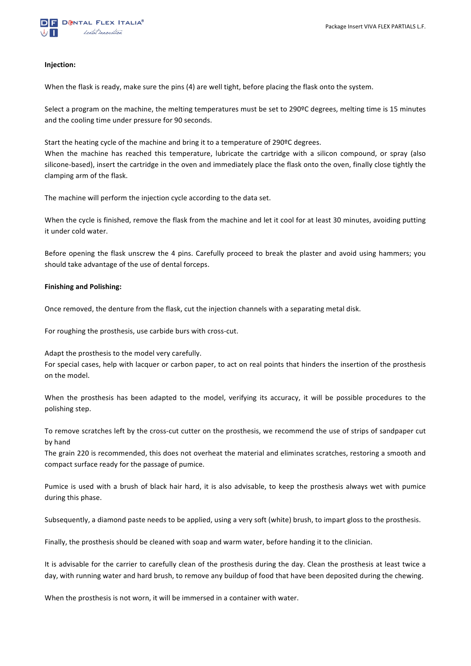#### **Injection:**

When the flask is ready, make sure the pins (4) are well tight, before placing the flask onto the system.

Select a program on the machine, the melting temperatures must be set to 290<sup>o</sup>C degrees, melting time is 15 minutes and the cooling time under pressure for 90 seconds.

Start the heating cycle of the machine and bring it to a temperature of  $290^{\circ}$ C degrees.

When the machine has reached this temperature, lubricate the cartridge with a silicon compound, or spray (also silicone-based), insert the cartridge in the oven and immediately place the flask onto the oven, finally close tightly the clamping arm of the flask.

The machine will perform the injection cycle according to the data set.

When the cycle is finished, remove the flask from the machine and let it cool for at least 30 minutes, avoiding putting it under cold water.

Before opening the flask unscrew the 4 pins. Carefully proceed to break the plaster and avoid using hammers; you should take advantage of the use of dental forceps.

#### **Finishing and Polishing:**

Once removed, the denture from the flask, cut the injection channels with a separating metal disk.

For roughing the prosthesis, use carbide burs with cross-cut.

Adapt the prosthesis to the model very carefully.

For special cases, help with lacquer or carbon paper, to act on real points that hinders the insertion of the prosthesis on the model.

When the prosthesis has been adapted to the model, verifying its accuracy, it will be possible procedures to the polishing step.

To remove scratches left by the cross-cut cutter on the prosthesis, we recommend the use of strips of sandpaper cut by hand

The grain 220 is recommended, this does not overheat the material and eliminates scratches, restoring a smooth and compact surface ready for the passage of pumice.

Pumice is used with a brush of black hair hard, it is also advisable, to keep the prosthesis always wet with pumice during this phase.

Subsequently, a diamond paste needs to be applied, using a very soft (white) brush, to impart gloss to the prosthesis.

Finally, the prosthesis should be cleaned with soap and warm water, before handing it to the clinician.

It is advisable for the carrier to carefully clean of the prosthesis during the day. Clean the prosthesis at least twice a day, with running water and hard brush, to remove any buildup of food that have been deposited during the chewing.

When the prosthesis is not worn, it will be immersed in a container with water.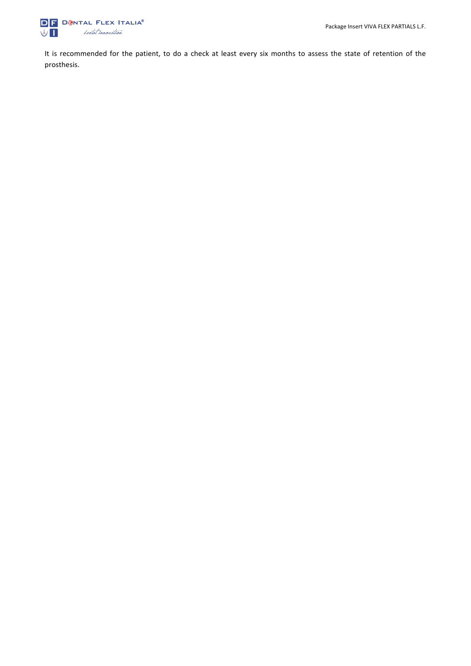

It is recommended for the patient, to do a check at least every six months to assess the state of retention of the prosthesis.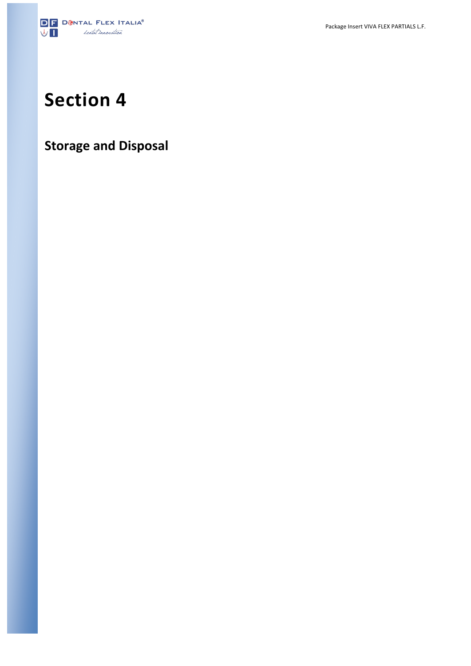

# **Section 4**

## **Storage and Disposal**